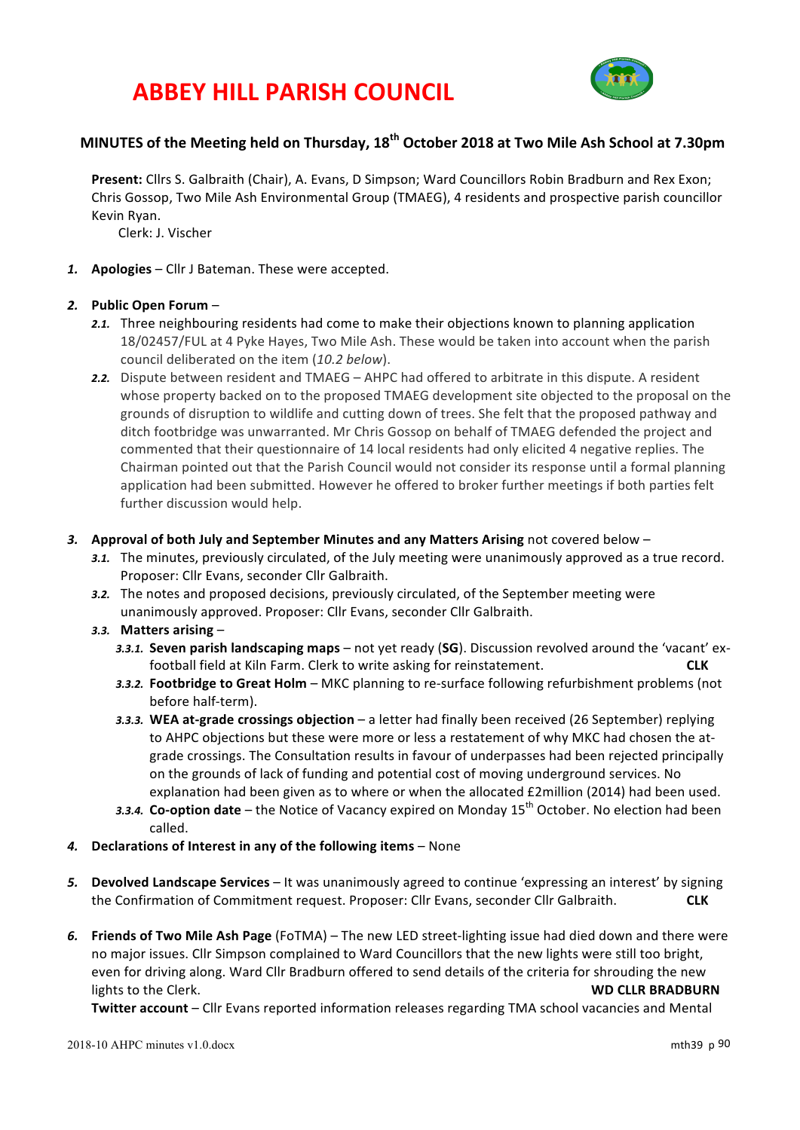# **ABBEY HILL PARISH COUNCIL**



# **MINUTES** of the Meeting held on Thursday,  $18<sup>th</sup>$  October 2018 at Two Mile Ash School at 7.30pm

Present: Cllrs S. Galbraith (Chair), A. Evans, D Simpson; Ward Councillors Robin Bradburn and Rex Exon; Chris Gossop, Two Mile Ash Environmental Group (TMAEG), 4 residents and prospective parish councillor Kevin Ryan.

Clerk: J. Vischer

1. **Apologies** – Cllr J Bateman. These were accepted.

### *2.* **Public Open Forum** –

- 2.1. Three neighbouring residents had come to make their objections known to planning application 18/02457/FUL at 4 Pyke Hayes, Two Mile Ash. These would be taken into account when the parish council deliberated on the item (10.2 below).
- 2.2. Dispute between resident and TMAEG AHPC had offered to arbitrate in this dispute. A resident whose property backed on to the proposed TMAEG development site objected to the proposal on the grounds of disruption to wildlife and cutting down of trees. She felt that the proposed pathway and ditch footbridge was unwarranted. Mr Chris Gossop on behalf of TMAEG defended the project and commented that their questionnaire of 14 local residents had only elicited 4 negative replies. The Chairman pointed out that the Parish Council would not consider its response until a formal planning application had been submitted. However he offered to broker further meetings if both parties felt further discussion would help.

#### 3. Approval of both July and September Minutes and any Matters Arising not covered below –

- 3.1. The minutes, previously circulated, of the July meeting were unanimously approved as a true record. Proposer: Cllr Evans, seconder Cllr Galbraith.
- 3.2. The notes and proposed decisions, previously circulated, of the September meeting were unanimously approved. Proposer: Cllr Evans, seconder Cllr Galbraith.
- 3.3. Matters arising  $-$ 
	- 3.3.1. **Seven parish landscaping maps** not yet ready (SG). Discussion revolved around the 'vacant' exfootball field at Kiln Farm. Clerk to write asking for reinstatement. **CLK**
	- 3.3.2. **Footbridge to Great Holm** MKC planning to re-surface following refurbishment problems (not before half-term).
	- 3.3.3. WEA at-grade crossings objection a letter had finally been received (26 September) replying to AHPC objections but these were more or less a restatement of why MKC had chosen the atgrade crossings. The Consultation results in favour of underpasses had been rejected principally on the grounds of lack of funding and potential cost of moving underground services. No explanation had been given as to where or when the allocated £2million (2014) had been used.
	- 3.3.4. Co-option date the Notice of Vacancy expired on Monday 15<sup>th</sup> October. No election had been called.
- 4. Declarations of Interest in any of the following items None
- 5. Devolved Landscape Services It was unanimously agreed to continue 'expressing an interest' by signing the Confirmation of Commitment request. Proposer: Cllr Evans, seconder Cllr Galbraith. **CLK**
- 6. **Friends of Two Mile Ash Page** (FoTMA) The new LED street-lighting issue had died down and there were no major issues. Cllr Simpson complained to Ward Councillors that the new lights were still too bright, even for driving along. Ward Cllr Bradburn offered to send details of the criteria for shrouding the new **lights to the Clerk. WD CLLR BRADBURN**

Twitter account - Cllr Evans reported information releases regarding TMA school vacancies and Mental